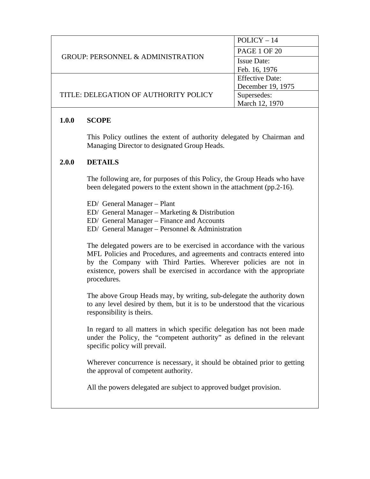|                                              | $POLICY-14$            |
|----------------------------------------------|------------------------|
| <b>GROUP: PERSONNEL &amp; ADMINISTRATION</b> | <b>PAGE 1 OF 20</b>    |
|                                              | <b>Issue Date:</b>     |
|                                              | Feb. 16, 1976          |
|                                              | <b>Effective Date:</b> |
|                                              | December 19, 1975      |
| TITLE: DELEGATION OF AUTHORITY POLICY        | Supersedes:            |
|                                              | March 12, 1970         |

### **1.0.0 SCOPE**

This Policy outlines the extent of authority delegated by Chairman and Managing Director to designated Group Heads.

#### **2.0.0 DETAILS**

The following are, for purposes of this Policy, the Group Heads who have been delegated powers to the extent shown in the attachment (pp.2-16).

- ED/ General Manager Plant
- ED/ General Manager Marketing & Distribution
- ED/ General Manager Finance and Accounts
- ED/ General Manager Personnel & Administration

The delegated powers are to be exercised in accordance with the various MFL Policies and Procedures, and agreements and contracts entered into by the Company with Third Parties. Wherever policies are not in existence, powers shall be exercised in accordance with the appropriate procedures.

The above Group Heads may, by writing, sub-delegate the authority down to any level desired by them, but it is to be understood that the vicarious responsibility is theirs.

In regard to all matters in which specific delegation has not been made under the Policy, the "competent authority" as defined in the relevant specific policy will prevail.

Wherever concurrence is necessary, it should be obtained prior to getting the approval of competent authority.

All the powers delegated are subject to approved budget provision.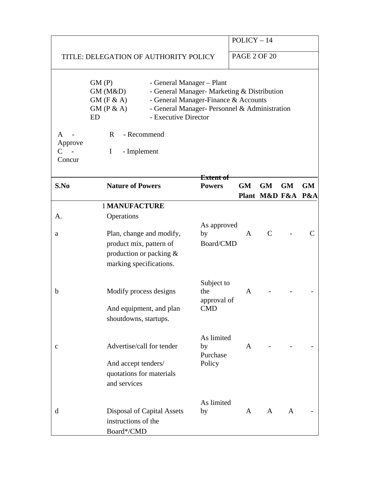|                             |                                                                                                                                                 |                                                                                                                                      | $POLICY-14$         |                   |           |           |
|-----------------------------|-------------------------------------------------------------------------------------------------------------------------------------------------|--------------------------------------------------------------------------------------------------------------------------------------|---------------------|-------------------|-----------|-----------|
|                             | TITLE: DELEGATION OF AUTHORITY POLICY                                                                                                           |                                                                                                                                      | <b>PAGE 2 OF 20</b> |                   |           |           |
|                             | GM(P)<br>- General Manager – Plant<br>GM (M&D)<br>GM(F & A)<br>GM(P & A)<br>- Executive Director<br><b>ED</b>                                   | - General Manager- Marketing & Distribution<br>- General Manager-Finance & Accounts<br>- General Manager- Personnel & Administration |                     |                   |           |           |
| A<br>Approve<br>C<br>Concur | - Recommend<br>$R_{\perp}$<br>- Implement<br>$\mathbf{I}$                                                                                       |                                                                                                                                      |                     |                   |           |           |
| S.No                        | <b>Nature of Powers</b>                                                                                                                         | <del>Extent of</del><br><b>Powers</b>                                                                                                | <b>GM</b>           | <b>GM</b>         | <b>GM</b> | <b>GM</b> |
|                             |                                                                                                                                                 |                                                                                                                                      |                     | Plant M&D F&A P&A |           |           |
| A.<br>a                     | <b>1 MANUFACTURE</b><br>Operations<br>Plan, change and modify,<br>product mix, pattern of<br>production or packing &<br>marking specifications. | As approved<br>by<br>Board/CMD                                                                                                       | $\mathsf{A}$        | C                 |           |           |
| $\mathbf b$                 | Modify process designs<br>And equipment, and plan<br>shoutdowns, startups.                                                                      | Subject to<br>the<br>approval of<br><b>CMD</b>                                                                                       | $\mathsf{A}$        |                   |           |           |
| c                           | Advertise/call for tender<br>And accept tenders/<br>quotations for materials<br>and services                                                    | As limited<br>by<br>Purchase<br>Policy                                                                                               | A                   |                   |           |           |
| d                           | <b>Disposal of Capital Assets</b><br>instructions of the<br>Board*/CMD                                                                          | As limited<br>by                                                                                                                     | A                   | A                 | A         |           |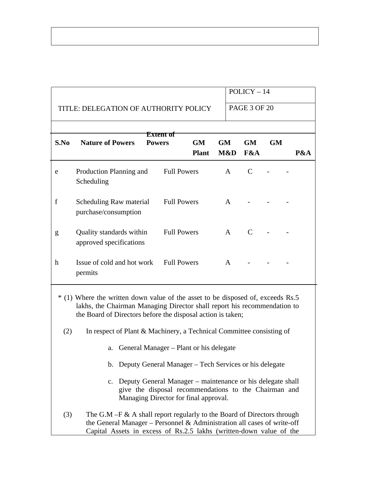|             |                                                                                                                                                                                                                            |                            |                           |                  | $POLICY-14$      |                     |  |     |  |
|-------------|----------------------------------------------------------------------------------------------------------------------------------------------------------------------------------------------------------------------------|----------------------------|---------------------------|------------------|------------------|---------------------|--|-----|--|
|             | TITLE: DELEGATION OF AUTHORITY POLICY                                                                                                                                                                                      |                            |                           |                  |                  | <b>PAGE 3 OF 20</b> |  |     |  |
|             |                                                                                                                                                                                                                            |                            |                           |                  |                  |                     |  |     |  |
| S.No        | <b>Nature of Powers</b>                                                                                                                                                                                                    | Extent of<br><b>Powers</b> | <b>GM</b><br><b>Plant</b> | <b>GM</b><br>M&D | <b>GM</b><br>F&A | <b>GM</b>           |  | P&A |  |
| e           | Production Planning and<br>Scheduling                                                                                                                                                                                      |                            | <b>Full Powers</b>        | $\mathsf{A}$     | $\mathsf{C}$     |                     |  |     |  |
| $\mathbf f$ | Scheduling Raw material<br>purchase/consumption                                                                                                                                                                            |                            | <b>Full Powers</b>        | $\mathsf{A}$     |                  |                     |  |     |  |
| g           | Quality standards within<br>approved specifications                                                                                                                                                                        |                            | <b>Full Powers</b>        | $\mathsf{A}$     | C                |                     |  |     |  |
| $\mathbf h$ | Issue of cold and hot work<br>permits                                                                                                                                                                                      |                            | <b>Full Powers</b>        | A                |                  |                     |  |     |  |
|             | * (1) Where the written down value of the asset to be disposed of, exceeds Rs.5<br>lakhs, the Chairman Managing Director shall report his recommendation to<br>the Board of Directors before the disposal action is taken; |                            |                           |                  |                  |                     |  |     |  |
| (2)         | In respect of Plant & Machinery, a Technical Committee consisting of                                                                                                                                                       |                            |                           |                  |                  |                     |  |     |  |
|             | General Manager – Plant or his delegate<br>a.                                                                                                                                                                              |                            |                           |                  |                  |                     |  |     |  |
|             | b. Deputy General Manager – Tech Services or his delegate                                                                                                                                                                  |                            |                           |                  |                  |                     |  |     |  |
|             | c. Deputy General Manager – maintenance or his delegate shall<br>give the disposal recommendations to the Chairman and<br>Managing Director for final approval.                                                            |                            |                           |                  |                  |                     |  |     |  |
| (3)         | The $G.M - F & A$ shall report regularly to the Board of Directors through<br>the General Manager - Personnel & Administration all cases of write-off                                                                      |                            |                           |                  |                  |                     |  |     |  |

Capital Assets in excess of Rs.2.5 lakhs (written-down value of the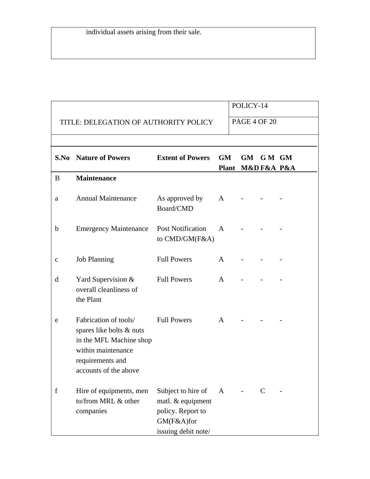|             |                                                                                                                                                 |                                                                                                   |              | POLICY-14                     |       |  |
|-------------|-------------------------------------------------------------------------------------------------------------------------------------------------|---------------------------------------------------------------------------------------------------|--------------|-------------------------------|-------|--|
|             | TITLE: DELEGATION OF AUTHORITY POLICY                                                                                                           |                                                                                                   |              | <b>PAGE 4 OF 20</b>           |       |  |
|             |                                                                                                                                                 |                                                                                                   |              |                               |       |  |
| S.No        | <b>Nature of Powers</b>                                                                                                                         | <b>Extent of Powers</b>                                                                           | <b>GM</b>    | <b>GM</b><br>Plant M&DF&A P&A | GM GM |  |
| B           | <b>Maintenance</b>                                                                                                                              |                                                                                                   |              |                               |       |  |
| a           | <b>Annual Maintenance</b>                                                                                                                       | As approved by<br>Board/CMD                                                                       | A            |                               |       |  |
| b           | <b>Emergency Maintenance</b>                                                                                                                    | <b>Post Notification</b><br>to CMD/GM(F&A)                                                        | $\mathsf{A}$ |                               |       |  |
| C           | <b>Job Planning</b>                                                                                                                             | <b>Full Powers</b>                                                                                | A            |                               |       |  |
| d           | Yard Supervision &<br>overall cleanliness of<br>the Plant                                                                                       | <b>Full Powers</b>                                                                                | A            |                               |       |  |
| e           | Fabrication of tools/<br>spares like bolts & nuts<br>in the MFL Machine shop<br>within maintenance<br>requirements and<br>accounts of the above | <b>Full Powers</b>                                                                                | A            |                               |       |  |
| $\mathbf f$ | Hire of equipments, men<br>to/from MRL & other<br>companies                                                                                     | Subject to hire of<br>matl. & equipment<br>policy. Report to<br>GM(F&A)for<br>issuing debit note/ | $\mathbf{A}$ |                               | C     |  |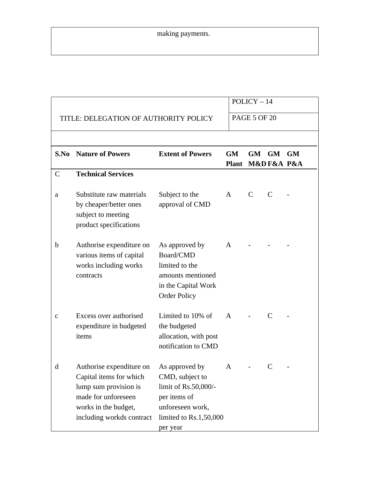## making payments.

|              |                                                                                                                                                          |                                                                                                                                     |                               | $POLICY-14$         |    |           |
|--------------|----------------------------------------------------------------------------------------------------------------------------------------------------------|-------------------------------------------------------------------------------------------------------------------------------------|-------------------------------|---------------------|----|-----------|
|              | TITLE: DELEGATION OF AUTHORITY POLICY                                                                                                                    |                                                                                                                                     |                               | <b>PAGE 5 OF 20</b> |    |           |
|              |                                                                                                                                                          |                                                                                                                                     |                               |                     |    |           |
| S.No         | <b>Nature of Powers</b>                                                                                                                                  | <b>Extent of Powers</b>                                                                                                             | <b>GM</b><br>Plant M&DF&A P&A | GM                  | GM | <b>GM</b> |
| $\mathsf{C}$ | <b>Technical Services</b>                                                                                                                                |                                                                                                                                     |                               |                     |    |           |
| a            | Substitute raw materials<br>by cheaper/better ones<br>subject to meeting<br>product specifications                                                       | Subject to the<br>approval of CMD                                                                                                   | A                             | C                   | C  |           |
| $\mathbf b$  | Authorise expenditure on<br>various items of capital<br>works including works<br>contracts                                                               | As approved by<br>Board/CMD<br>limited to the<br>amounts mentioned<br>in the Capital Work<br><b>Order Policy</b>                    | A                             |                     |    |           |
| C            | Excess over authorised<br>expenditure in budgeted<br>items                                                                                               | Limited to 10% of<br>the budgeted<br>allocation, with post<br>notification to CMD                                                   | $\mathsf{A}$                  |                     | C  |           |
| d            | Authorise expenditure on<br>Capital items for which<br>lump sum provision is<br>made for unforeseen<br>works in the budget,<br>including workds contract | As approved by<br>CMD, subject to<br>limit of Rs.50,000/-<br>per items of<br>unforeseen work,<br>limited to Rs.1,50,000<br>per year | A                             |                     | C  |           |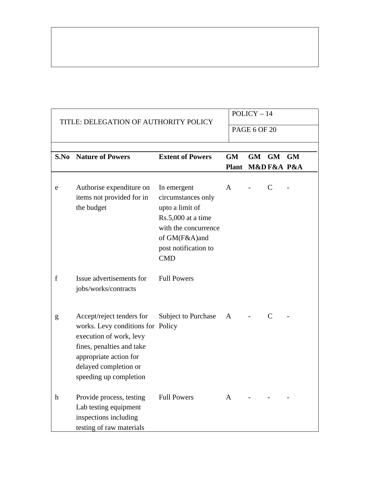|                           | TITLE: DELEGATION OF AUTHORITY POLICY                                                                                                                                                               |                                                                                                                                                           | $POLICY-14$               |                     |                        |  |  |  |
|---------------------------|-----------------------------------------------------------------------------------------------------------------------------------------------------------------------------------------------------|-----------------------------------------------------------------------------------------------------------------------------------------------------------|---------------------------|---------------------|------------------------|--|--|--|
|                           |                                                                                                                                                                                                     |                                                                                                                                                           |                           | <b>PAGE 6 OF 20</b> |                        |  |  |  |
|                           | <b>S.No</b> Nature of Powers                                                                                                                                                                        | <b>Extent of Powers</b>                                                                                                                                   | <b>GM</b><br><b>Plant</b> |                     | GM GM GM<br>M&DF&A P&A |  |  |  |
| e                         | Authorise expenditure on<br>items not provided for in<br>the budget                                                                                                                                 | In emergent<br>circumstances only<br>upto a limit of<br>Rs.5,000 at a time<br>with the concurrence<br>of GM(F&A)and<br>post notification to<br><b>CMD</b> | $\mathbf{A}$              |                     | $\mathsf{C}$           |  |  |  |
| f                         | Issue advertisements for<br>jobs/works/contracts                                                                                                                                                    | <b>Full Powers</b>                                                                                                                                        |                           |                     |                        |  |  |  |
| g                         | Accept/reject tenders for<br>works. Levy conditions for Policy<br>execution of work, levy<br>fines, penalties and take<br>appropriate action for<br>delayed completion or<br>speeding up completion | <b>Subject to Purchase</b>                                                                                                                                | A                         |                     | C                      |  |  |  |
| $\boldsymbol{\mathrm{h}}$ | Provide process, testing<br>Lab testing equipment<br>inspections including<br>testing of raw materials                                                                                              | <b>Full Powers</b>                                                                                                                                        | $\mathbf{A}$              |                     |                        |  |  |  |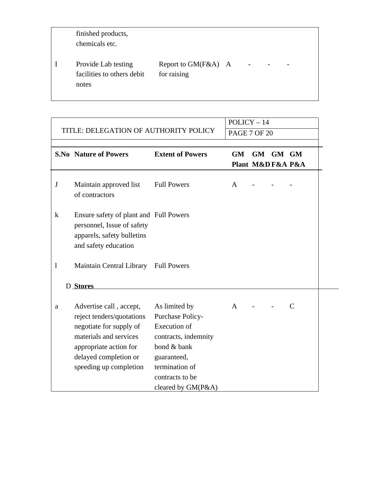| finished products,<br>chemicals etc.                       |                                    |                |                          |
|------------------------------------------------------------|------------------------------------|----------------|--------------------------|
| Provide Lab testing<br>facilities to others debit<br>notes | Report to GM(F&A) A<br>for raising | $\blacksquare$ | $\overline{\phantom{0}}$ |

|             |                                                                                                                                                                                        | $POLICY-14$                                                                                                                                                               |                     |                         |       |   |  |
|-------------|----------------------------------------------------------------------------------------------------------------------------------------------------------------------------------------|---------------------------------------------------------------------------------------------------------------------------------------------------------------------------|---------------------|-------------------------|-------|---|--|
|             | TITLE: DELEGATION OF AUTHORITY POLICY                                                                                                                                                  |                                                                                                                                                                           | <b>PAGE 7 OF 20</b> |                         |       |   |  |
|             | <b>S.No Nature of Powers</b>                                                                                                                                                           | <b>Extent of Powers</b>                                                                                                                                                   | <b>GM</b>           | GM<br>Plant M&D F&A P&A | GM GM |   |  |
| J           | Maintain approved list<br>of contractors                                                                                                                                               | <b>Full Powers</b>                                                                                                                                                        | $\mathbf{A}$        |                         |       |   |  |
| $\mathbf k$ | Ensure safety of plant and Full Powers<br>personnel, Issue of safety<br>apparels, safety bulletins<br>and safety education                                                             |                                                                                                                                                                           |                     |                         |       |   |  |
| $\bf{l}$    | Maintain Central Library Full Powers                                                                                                                                                   |                                                                                                                                                                           |                     |                         |       |   |  |
|             | D Stores                                                                                                                                                                               |                                                                                                                                                                           |                     |                         |       |   |  |
| a           | Advertise call, accept,<br>reject tenders/quotations<br>negotiate for supply of<br>materials and services<br>appropriate action for<br>delayed completion or<br>speeding up completion | As limited by<br>Purchase Policy-<br><b>Execution of</b><br>contracts, indemnity<br>bond & bank<br>guaranteed,<br>termination of<br>contracts to be<br>cleared by GM(P&A) | $\mathbf{A}$        |                         |       | C |  |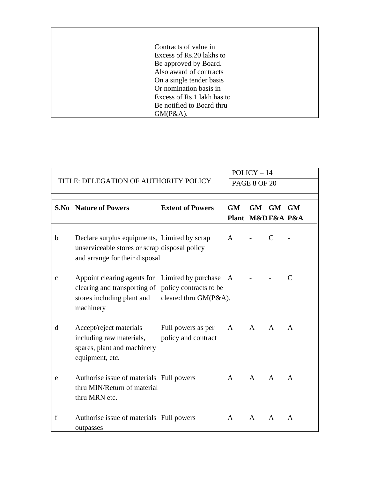| Contracts of value in     |                            |
|---------------------------|----------------------------|
| Excess of Rs.20 lakhs to  |                            |
| Be approved by Board.     |                            |
| Also award of contracts   |                            |
| On a single tender basis  |                            |
| Or nomination basis in    |                            |
|                           | Excess of Rs.1 lakh has to |
| Be notified to Board thru |                            |
| GM(P&A).                  |                            |

ſ

Ĕ

|   |                                                                                                                                                   |                                           |                               | $POLICY-14$         |              |   |
|---|---------------------------------------------------------------------------------------------------------------------------------------------------|-------------------------------------------|-------------------------------|---------------------|--------------|---|
|   | TITLE: DELEGATION OF AUTHORITY POLICY                                                                                                             |                                           |                               | <b>PAGE 8 OF 20</b> |              |   |
|   | <b>S.No</b> Nature of Powers                                                                                                                      | <b>Extent of Powers</b>                   | <b>GM</b><br>Plant M&DF&A P&A | GM GM GM            |              |   |
| b | Declare surplus equipments, Limited by scrap<br>unserviceable stores or scrap disposal policy<br>and arrange for their disposal                   |                                           | A                             |                     | C            |   |
| C | Appoint clearing agents for Limited by purchase<br>clearing and transporting of policy contracts to be<br>stores including plant and<br>machinery | cleared thru GM(P&A).                     | A                             |                     |              | C |
| d | Accept/reject materials<br>including raw materials,<br>spares, plant and machinery<br>equipment, etc.                                             | Full powers as per<br>policy and contract | A                             | $\mathsf{A}$        | $\mathsf{A}$ | A |
| e | Authorise issue of materials Full powers<br>thru MIN/Return of material<br>thru MRN etc.                                                          |                                           | $\mathsf{A}$                  | A                   | A            | A |
| f | Authorise issue of materials Full powers<br>outpasses                                                                                             |                                           | A                             | $\mathsf{A}$        | $\mathsf{A}$ | A |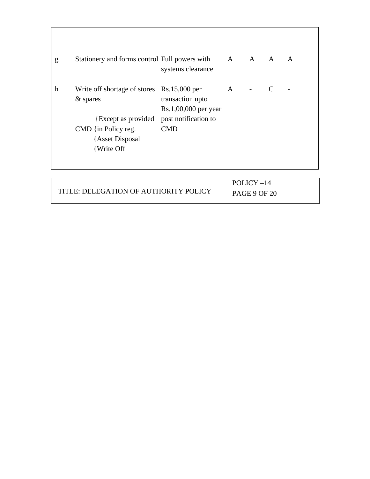| g | Stationery and forms control Full powers with A A A A                                                                                                      | systems clearance                                      |   |  | $\mathsf{A}$ |
|---|------------------------------------------------------------------------------------------------------------------------------------------------------------|--------------------------------------------------------|---|--|--------------|
| h | Write off shortage of stores Rs.15,000 per<br>& spares<br>{Except as provided post notification to<br>CMD {in Policy reg.<br>{Asset Disposal<br>{Write Off | transaction upto<br>Rs.1,00,000 per year<br><b>CMD</b> | A |  |              |
|   |                                                                                                                                                            |                                                        |   |  |              |

|                                       | POLICY-14           |
|---------------------------------------|---------------------|
| TITLE: DELEGATION OF AUTHORITY POLICY | <b>PAGE 9 OF 20</b> |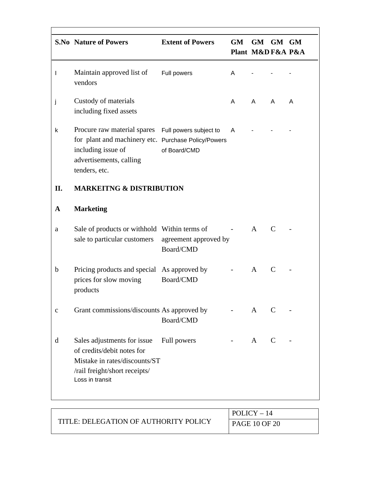|              | <b>S.No Nature of Powers</b>                                                                                                                                                | <b>Extent of Powers</b> | <b>GM</b> | GM GM GM<br>Plant M&D F&A P&A |              |   |
|--------------|-----------------------------------------------------------------------------------------------------------------------------------------------------------------------------|-------------------------|-----------|-------------------------------|--------------|---|
| $\mathsf{l}$ | Maintain approved list of<br>vendors                                                                                                                                        | Full powers             | A         |                               |              |   |
| j            | Custody of materials<br>including fixed assets                                                                                                                              |                         | A         | $\mathsf{A}$                  | $\mathsf{A}$ | A |
| k            | Procure raw material spares Full powers subject to<br>for plant and machinery etc. Purchase Policy/Powers<br>including issue of<br>advertisements, calling<br>tenders, etc. | of Board/CMD            | A         |                               |              |   |
| II.          | <b>MARKEITNG &amp; DISTRIBUTION</b>                                                                                                                                         |                         |           |                               |              |   |
| A            | <b>Marketing</b>                                                                                                                                                            |                         |           |                               |              |   |
| a            | Sale of products or withhold Within terms of<br>sale to particular customers agreement approved by                                                                          | Board/CMD               |           | A                             | $\mathsf{C}$ |   |
| b            | Pricing products and special As approved by<br>prices for slow moving<br>products                                                                                           | Board/CMD               |           | $\mathbf{A}$                  | $\mathsf{C}$ |   |
| C            | Grant commissions/discounts As approved by                                                                                                                                  | Board/CMD               |           | A                             |              |   |
| d            | Sales adjustments for issue<br>of credits/debit notes for<br>Mistake in rates/discounts/ST<br>/rail freight/short receipts/<br>Loss in transit                              | Full powers             |           | A                             | C            |   |

ſ

Ē.

|                                       | $POLICY-14$          |
|---------------------------------------|----------------------|
| TITLE: DELEGATION OF AUTHORITY POLICY | <b>PAGE 10 OF 20</b> |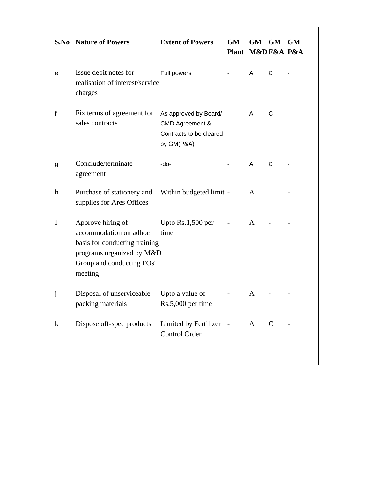|             | <b>S.No</b> Nature of Powers                                                                                                                      | <b>Extent of Powers</b>                                                             | <b>GM</b><br>Plant M&D F&A P&A | GM  | <b>GM</b>    | GM |
|-------------|---------------------------------------------------------------------------------------------------------------------------------------------------|-------------------------------------------------------------------------------------|--------------------------------|-----|--------------|----|
| е           | Issue debit notes for<br>realisation of interest/service<br>charges                                                                               | Full powers                                                                         |                                | A   | C            |    |
| f           | Fix terms of agreement for<br>sales contracts                                                                                                     | As approved by Board/ -<br>CMD Agreement &<br>Contracts to be cleared<br>by GM(P&A) |                                | A   | C            |    |
| g           | Conclude/terminate<br>agreement                                                                                                                   | -do-                                                                                |                                | A   | $\mathsf{C}$ |    |
| $\mathbf h$ | Purchase of stationery and<br>supplies for Ares Offices                                                                                           | Within budgeted limit -                                                             |                                | A   |              |    |
| $\mathbf I$ | Approve hiring of<br>accommodation on adhoc<br>basis for conducting training<br>programs organized by M&D<br>Group and conducting FOs'<br>meeting | Upto Rs.1,500 per<br>time                                                           |                                | A   |              |    |
| j           | Disposal of unserviceable Upto a value of<br>packing materials                                                                                    | Rs.5,000 per time                                                                   |                                | A   |              |    |
| $\bf k$     | Dispose off-spec products                                                                                                                         | Limited by Fertilizer -<br>Control Order                                            |                                | A C |              |    |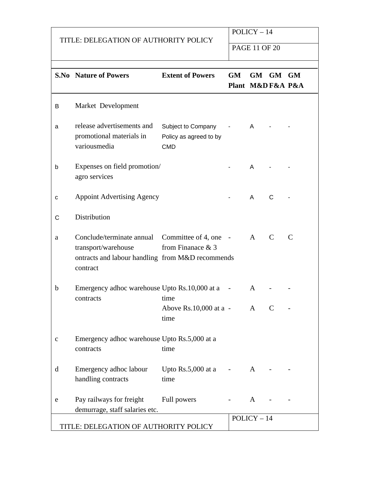### TITLE: DELEGATION OF AUTHORITY POLICY

POLICY – 14

PAGE 11 OF 20

|             | <b>S.No Nature of Powers</b>                                                                                                           | <b>Extent of Powers</b>                                    | GM<br>Plant M&DF&A P&A      | GM GM GM     |              |   |
|-------------|----------------------------------------------------------------------------------------------------------------------------------------|------------------------------------------------------------|-----------------------------|--------------|--------------|---|
| В           | Market Development                                                                                                                     |                                                            |                             |              |              |   |
| a           | release advertisements and<br>promotional materials in<br>variousmedia                                                                 | Subject to Company<br>Policy as agreed to by<br><b>CMD</b> |                             | A            |              |   |
| b           | Expenses on field promotion/<br>agro services                                                                                          |                                                            |                             | A            |              |   |
| C           | <b>Appoint Advertising Agency</b>                                                                                                      |                                                            |                             | A            | C            |   |
| C           | Distribution                                                                                                                           |                                                            |                             |              |              |   |
| a           | Conclude/terminate annual Committee of 4, one -<br>transport/warehouse<br>ontracts and labour handling from M&D recommends<br>contract | from Finanace & 3                                          |                             | A            | C            | C |
| b           | Emergency adhoc warehouse Upto Rs.10,000 at a<br>contracts                                                                             | time                                                       |                             | A            |              |   |
|             |                                                                                                                                        | Above Rs.10,000 at a -<br>time                             |                             | $\mathbf{A}$ | $\mathsf{C}$ |   |
| $\mathsf C$ | Emergency adhoc warehouse Upto Rs.5,000 at a<br>contracts                                                                              | time                                                       |                             |              |              |   |
| d           | Emergency adhoc labour<br>handling contracts                                                                                           | Upto Rs.5,000 at a<br>time                                 | $\sim 10^{11}$ km s $^{-1}$ | A            |              |   |
| е           | Pay railways for freight<br>demurrage, staff salaries etc.                                                                             | Full powers                                                |                             | A            |              |   |
|             |                                                                                                                                        |                                                            |                             | $POLICY-14$  |              |   |
|             | TITLE: DELEGATION OF AUTHORITY POLICY                                                                                                  |                                                            |                             |              |              |   |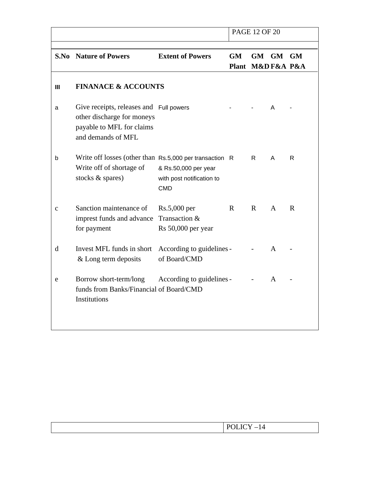|             |                                                                                                                          |                                                                 | <b>PAGE 12 OF 20</b> |              |           |           |
|-------------|--------------------------------------------------------------------------------------------------------------------------|-----------------------------------------------------------------|----------------------|--------------|-----------|-----------|
|             |                                                                                                                          |                                                                 |                      |              |           |           |
|             | <b>S.No</b> Nature of Powers                                                                                             | <b>Extent of Powers</b>                                         | <b>GM</b>            | <b>GM</b>    | <b>GM</b> | <b>GM</b> |
|             |                                                                                                                          |                                                                 | Plant M&DF&A P&A     |              |           |           |
| Ш           | <b>FINANACE &amp; ACCOUNTS</b>                                                                                           |                                                                 |                      |              |           |           |
| a           | Give receipts, releases and Full powers<br>other discharge for moneys<br>payable to MFL for claims<br>and demands of MFL |                                                                 |                      |              | A         |           |
| b           | Write off losses (other than Rs.5,000 per transaction R<br>Write off of shortage of<br>stocks & spares)                  | & Rs.50,000 per year<br>with post notification to<br><b>CMD</b> |                      | R.           | A         | R         |
| C           | Sanction maintenance of<br>imprest funds and advance<br>for payment                                                      | Rs.5,000 per<br>Transaction &<br>Rs 50,000 per year             | R                    | $\mathsf{R}$ | A         | R         |
| $\mathbf d$ | Invest MFL funds in short<br>& Long term deposits                                                                        | According to guidelines -<br>of Board/CMD                       |                      |              | A         |           |
| e           | Borrow short-term/long<br>funds from Banks/Financial of Board/CMD<br>Institutions                                        | According to guidelines -                                       |                      |              | A         |           |

|--|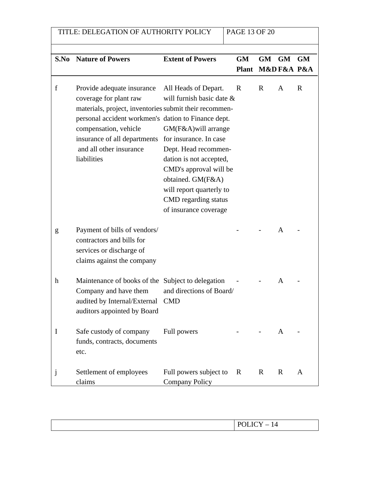| TITLE: DELEGATION OF AUTHORITY POLICY |                                                                                                                                                                                                                                                                                                                      |                                                                                                                                                                                                                                  |           | <b>PAGE 13 OF 20</b> |                            |   |  |
|---------------------------------------|----------------------------------------------------------------------------------------------------------------------------------------------------------------------------------------------------------------------------------------------------------------------------------------------------------------------|----------------------------------------------------------------------------------------------------------------------------------------------------------------------------------------------------------------------------------|-----------|----------------------|----------------------------|---|--|
|                                       | <b>S.No</b> Nature of Powers                                                                                                                                                                                                                                                                                         | <b>Extent of Powers</b>                                                                                                                                                                                                          | <b>GM</b> | GM                   | GM GM<br>Plant M&D F&A P&A |   |  |
| f                                     | Provide adequate insurance All Heads of Depart.<br>coverage for plant raw<br>materials, project, inventories submit their recommen-<br>personal accident workmen's dation to Finance dept.<br>compensation, vehicle<br>insurance of all departments for insurance. In case<br>and all other insurance<br>liabilities | will furnish basic date &<br>GM(F&A) will arrange<br>Dept. Head recommen-<br>dation is not accepted,<br>CMD's approval will be<br>obtained. GM(F&A)<br>will report quarterly to<br>CMD regarding status<br>of insurance coverage | R         | R                    | A                          | R |  |
| g                                     | Payment of bills of vendors/<br>contractors and bills for<br>services or discharge of<br>claims against the company                                                                                                                                                                                                  |                                                                                                                                                                                                                                  |           |                      | $\mathsf{A}$               |   |  |
| $\mathbf h$                           | Maintenance of books of the Subject to delegation<br>Company and have them<br>audited by Internal/External CMD<br>auditors appointed by Board                                                                                                                                                                        | and directions of Board/                                                                                                                                                                                                         |           |                      | A                          |   |  |
| Ι                                     | Safe custody of company<br>funds, contracts, documents<br>etc.                                                                                                                                                                                                                                                       | Full powers                                                                                                                                                                                                                      |           |                      | A                          |   |  |
| J                                     | Settlement of employees<br>claims                                                                                                                                                                                                                                                                                    | Full powers subject to<br><b>Company Policy</b>                                                                                                                                                                                  | R         | R                    | R                          | A |  |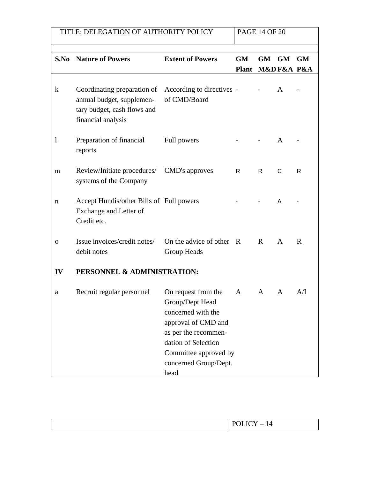| TITLE; DELEGATION OF AUTHORITY POLICY |                                                                                                               |                                                                                                                                                                                              |                           | <b>PAGE 14 OF 20</b> |              |                         |
|---------------------------------------|---------------------------------------------------------------------------------------------------------------|----------------------------------------------------------------------------------------------------------------------------------------------------------------------------------------------|---------------------------|----------------------|--------------|-------------------------|
| S.No                                  | <b>Nature of Powers</b>                                                                                       | <b>Extent of Powers</b>                                                                                                                                                                      | <b>GM</b><br><b>Plant</b> | GM                   | <b>GM</b>    | <b>GM</b><br>M&DF&A P&A |
| $\bf k$                               | Coordinating preparation of<br>annual budget, supplemen-<br>tary budget, cash flows and<br>financial analysis | According to directives -<br>of CMD/Board                                                                                                                                                    |                           |                      | A            |                         |
| 1                                     | Preparation of financial<br>reports                                                                           | Full powers                                                                                                                                                                                  |                           |                      | A            |                         |
| m                                     | Review/Initiate procedures/<br>systems of the Company                                                         | CMD's approves                                                                                                                                                                               | R                         | R                    | C            | R                       |
| n                                     | Accept Hundis/other Bills of Full powers<br>Exchange and Letter of<br>Credit etc.                             |                                                                                                                                                                                              |                           |                      | A            |                         |
| 0                                     | Issue invoices/credit notes/<br>debit notes                                                                   | On the advice of other R<br>Group Heads                                                                                                                                                      |                           | $\mathbf{R}$         | $\mathsf{A}$ | $\mathbf R$             |
| IV                                    | PERSONNEL & ADMINISTRATION:                                                                                   |                                                                                                                                                                                              |                           |                      |              |                         |
| a                                     | Recruit regular personnel                                                                                     | On request from the<br>Group/Dept.Head<br>concerned with the<br>approval of CMD and<br>as per the recommen-<br>dation of Selection<br>Committee approved by<br>concerned Group/Dept.<br>head | A                         | A                    | A            | A/I                     |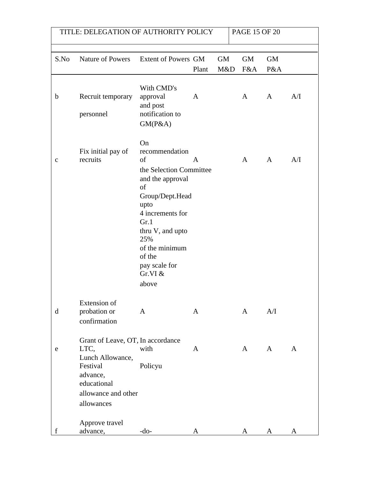| TITLE: DELEGATION OF AUTHORITY POLICY |                                                                                                                                           |                                                                                                                                                                                                                                    |       |           | <b>PAGE 15 OF 20</b> |              |              |
|---------------------------------------|-------------------------------------------------------------------------------------------------------------------------------------------|------------------------------------------------------------------------------------------------------------------------------------------------------------------------------------------------------------------------------------|-------|-----------|----------------------|--------------|--------------|
|                                       |                                                                                                                                           |                                                                                                                                                                                                                                    |       |           |                      |              |              |
| S.No                                  | Nature of Powers Extent of Powers GM                                                                                                      |                                                                                                                                                                                                                                    |       | <b>GM</b> | <b>GM</b>            | <b>GM</b>    |              |
|                                       |                                                                                                                                           |                                                                                                                                                                                                                                    | Plant | M&D       | F&A                  | P&A          |              |
| b                                     | Recruit temporary<br>personnel                                                                                                            | With CMD's<br>approval<br>and post<br>notification to<br>GM(P&A)                                                                                                                                                                   | A     |           | A                    | $\mathbf{A}$ | A/I          |
| C                                     | Fix initial pay of<br>recruits                                                                                                            | On<br>recommendation<br>of<br>the Selection Committee<br>and the approval<br>of<br>Group/Dept.Head<br>upto<br>4 increments for<br>Gr.1<br>thru V, and upto<br>25%<br>of the minimum<br>of the<br>pay scale for<br>Gr.VI &<br>above | A     |           | $\mathbf{A}$         | A            | A/I          |
| $\mathbf d$                           | <b>Extension</b> of<br>probation or<br>confirmation                                                                                       | A                                                                                                                                                                                                                                  | A     |           | A                    | A/I          |              |
| e                                     | Grant of Leave, OT, In accordance<br>LTC,<br>Lunch Allowance,<br>Festival<br>advance,<br>educational<br>allowance and other<br>allowances | with<br>Policyu                                                                                                                                                                                                                    | A     |           | A                    | A            | $\mathbf{A}$ |
| f                                     | Approve travel<br>advance,                                                                                                                | -do-                                                                                                                                                                                                                               | A     |           | A                    | A            | A            |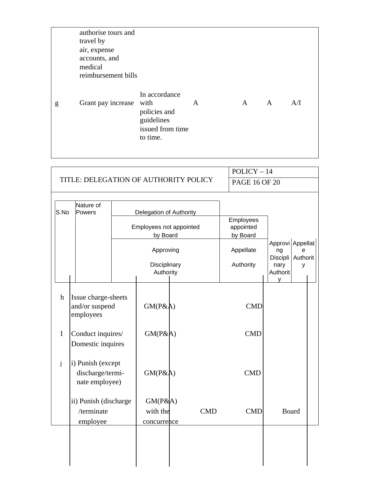|   | authorise tours and<br>travel by<br>air, expense<br>accounts, and<br>medical<br>reimbursement bills |                                                                             |   |              |   |     |
|---|-----------------------------------------------------------------------------------------------------|-----------------------------------------------------------------------------|---|--------------|---|-----|
| g | Grant pay increase with                                                                             | In accordance<br>policies and<br>guidelines<br>issued from time<br>to time. | A | $\mathbf{A}$ | A | A/I |

|              |                                                         |                                     |            | $POLICY-14$                        |                                    |               |  |
|--------------|---------------------------------------------------------|-------------------------------------|------------|------------------------------------|------------------------------------|---------------|--|
|              | TITLE: DELEGATION OF AUTHORITY POLICY                   |                                     |            | <b>PAGE 16 OF 20</b>               |                                    |               |  |
|              |                                                         |                                     |            |                                    |                                    |               |  |
| S.No         | Nature of<br>Powers                                     | Delegation of Authority             |            |                                    |                                    |               |  |
|              |                                                         | Employees not appointed<br>by Board |            | Employees<br>appointed<br>by Board |                                    |               |  |
|              |                                                         | Approving                           |            | Appellate                          | Approvi Appellat<br>ng<br>Discipli | e<br>Authorit |  |
|              |                                                         | Disciplinary<br>Authority           |            | Authority                          | nary<br>Authorit<br>y              | У             |  |
| $\mathbf{h}$ | Issue charge-sheets<br>and/or suspend<br>employees      | GM(P&A)                             |            | <b>CMD</b>                         |                                    |               |  |
| $\mathbf I$  | Conduct inquires/<br>Domestic inquires                  | GM(P&A)                             |            | <b>CMD</b>                         |                                    |               |  |
| j            | i) Punish (except<br>discharge/termi-<br>nate employee) | GM(P&A)                             |            | <b>CMD</b>                         |                                    |               |  |
|              | ii) Punish (discharge<br>/terminate<br>employee         | GM(P&A)<br>with the<br>concurrence  | <b>CMD</b> | <b>CMD</b>                         |                                    | <b>Board</b>  |  |
|              |                                                         |                                     |            |                                    |                                    |               |  |
|              |                                                         |                                     |            |                                    |                                    |               |  |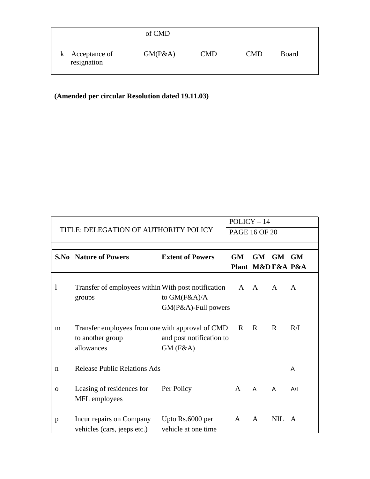|                                | of CMD  |            |            |              |  |
|--------------------------------|---------|------------|------------|--------------|--|
| k Acceptance of<br>resignation | GM(P&A) | <b>CMD</b> | <b>CMD</b> | <b>Board</b> |  |

# **(Amended per circular Resolution dated 19.11.03)**

|             |                                                                                    |                                         | $POLICY-14$          |                  |              |              |
|-------------|------------------------------------------------------------------------------------|-----------------------------------------|----------------------|------------------|--------------|--------------|
|             | TITLE: DELEGATION OF AUTHORITY POLICY                                              |                                         | <b>PAGE 16 OF 20</b> |                  |              |              |
|             |                                                                                    |                                         |                      |                  |              |              |
|             | <b>S.No</b> Nature of Powers                                                       | <b>Extent of Powers</b>                 | <b>GM</b>            | <b>GM</b>        | GM GM        |              |
|             |                                                                                    |                                         |                      | Plant M&DF&A P&A |              |              |
| 1           | Transfer of employees within With post notification<br>groups                      | to $GM(F&A)/A$<br>GM(P&A)-Full powers   | A A                  |                  | $\mathsf{A}$ | $\mathsf{A}$ |
| m           | Transfer employees from one with approval of CMD<br>to another group<br>allowances | and post notification to<br>$GM$ (F&A)  | R                    | R                | $\mathbf R$  | R/I          |
| n           | <b>Release Public Relations Ads</b>                                                |                                         |                      |                  |              | A            |
| $\mathbf 0$ | Leasing of residences for<br>MFL employees                                         | Per Policy                              | A                    | A                | A            | A/I          |
| p           | Incur repairs on Company<br>vehicles (cars, jeeps etc.)                            | Upto Rs.6000 per<br>vehicle at one time | A                    | $\mathsf{A}$     | <b>NIL</b>   | A            |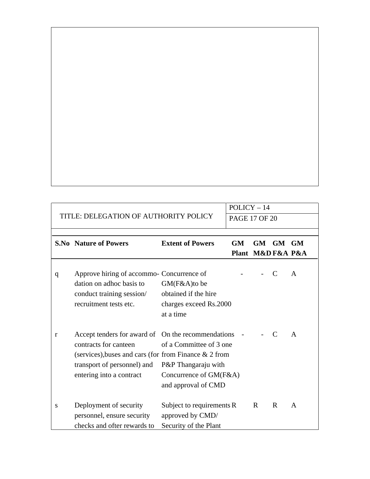|   |                                                                             |                                               | $POLICY-14$          |                   |              |   |
|---|-----------------------------------------------------------------------------|-----------------------------------------------|----------------------|-------------------|--------------|---|
|   | TITLE: DELEGATION OF AUTHORITY POLICY                                       |                                               | <b>PAGE 17 OF 20</b> |                   |              |   |
|   |                                                                             |                                               |                      |                   |              |   |
|   | <b>S.No Nature of Powers</b>                                                | <b>Extent of Powers</b>                       | <b>GM</b>            | GM.               | GM GM        |   |
|   |                                                                             |                                               |                      | Plant M&D F&A P&A |              |   |
| q | Approve hiring of accommo- Concurrence of<br>dation on adhoc basis to       | GM(F&A)to be                                  |                      |                   | C            | A |
|   | conduct training session/                                                   | obtained if the hire                          |                      |                   |              |   |
|   | recruitment tests etc.                                                      | charges exceed Rs.2000<br>at a time           |                      |                   |              |   |
|   |                                                                             |                                               |                      |                   |              |   |
| r | Accept tenders for award of On the recommendations<br>contracts for canteen | of a Committee of 3 one                       |                      |                   | $\mathsf{C}$ | A |
|   | (services), buses and cars (for from Finance & 2 from                       |                                               |                      |                   |              |   |
|   | transport of personnel) and                                                 | P&P Thangaraju with                           |                      |                   |              |   |
|   | entering into a contract                                                    | Concurrence of GM(F&A)                        |                      |                   |              |   |
|   |                                                                             | and approval of CMD                           |                      |                   |              |   |
| S | Deployment of security<br>personnel, ensure security                        | Subject to requirements R<br>approved by CMD/ |                      | R                 | R            | A |
|   | checks and ofter rewards to                                                 | Security of the Plant                         |                      |                   |              |   |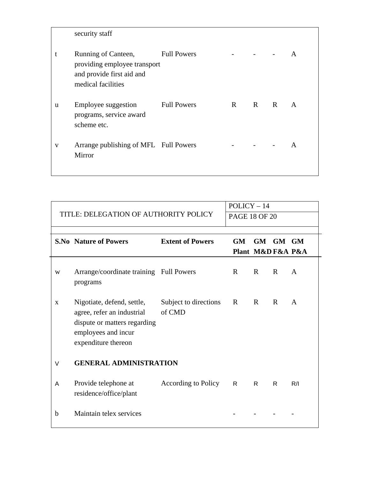|   | security staff                                                                                         |                    |              |   |              |              |
|---|--------------------------------------------------------------------------------------------------------|--------------------|--------------|---|--------------|--------------|
|   | Running of Canteen,<br>providing employee transport<br>and provide first aid and<br>medical facilities | Full Powers        |              |   |              | A            |
| u | Employee suggestion<br>programs, service award<br>scheme etc.                                          | <b>Full Powers</b> | $\mathbb{R}$ | R | $\mathbf{R}$ | $\mathsf{A}$ |
| V | Arrange publishing of MFL Full Powers<br>Mirror                                                        |                    |              |   |              | A            |

|             |                                                                                                                                        |                                 | $POLICY-14$          |                   |       |              |
|-------------|----------------------------------------------------------------------------------------------------------------------------------------|---------------------------------|----------------------|-------------------|-------|--------------|
|             | TITLE: DELEGATION OF AUTHORITY POLICY                                                                                                  |                                 | <b>PAGE 18 OF 20</b> |                   |       |              |
|             |                                                                                                                                        |                                 |                      |                   |       |              |
|             | <b>S.No Nature of Powers</b>                                                                                                           | <b>Extent of Powers</b>         | GM.                  | <b>GM</b>         | GM GM |              |
|             |                                                                                                                                        |                                 |                      | Plant M&D F&A P&A |       |              |
| W           | Arrange/coordinate training Full Powers<br>programs                                                                                    |                                 | R                    | R                 | R     | $\mathsf{A}$ |
| $\mathbf X$ | Nigotiate, defend, settle,<br>agree, refer an industrial<br>dispute or matters regarding<br>employees and incur<br>expenditure thereon | Subject to directions<br>of CMD | $\mathbf R$          | R                 | R     | A            |
| $\vee$      | <b>GENERAL ADMINISTRATION</b>                                                                                                          |                                 |                      |                   |       |              |
| A           | Provide telephone at<br>residence/office/plant                                                                                         | <b>According to Policy</b>      | R.                   | R                 | R.    | R/I          |
| $\mathbf b$ | Maintain telex services                                                                                                                |                                 |                      |                   |       |              |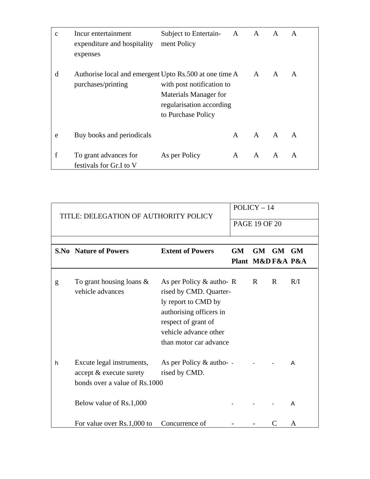| C | Incur entertainment<br>expenditure and hospitality<br>expenses                 | Subject to Entertain- A A<br>ment Policy                                                             |              |              | $\mathbf{A}$ | A            |
|---|--------------------------------------------------------------------------------|------------------------------------------------------------------------------------------------------|--------------|--------------|--------------|--------------|
| d | Authorise local and emergent Upto Rs.500 at one time A A<br>purchases/printing | with post notification to<br>Materials Manager for<br>regularisation according<br>to Purchase Policy |              |              | $\mathsf{A}$ | $\mathsf{A}$ |
| e | Buy books and periodicals                                                      |                                                                                                      | $\mathsf{A}$ | $A \qquad A$ |              | A            |
| f | To grant advances for<br>festivals for Gr.I to V                               | As per Policy                                                                                        | $\mathsf{A}$ | A            | $\mathsf{A}$ | A            |

|   | TITLE: DELEGATION OF AUTHORITY POLICY                                                 |                                                                                                                                                                               |           | $POLICY-14$          |       |     |
|---|---------------------------------------------------------------------------------------|-------------------------------------------------------------------------------------------------------------------------------------------------------------------------------|-----------|----------------------|-------|-----|
|   |                                                                                       |                                                                                                                                                                               |           | <b>PAGE 19 OF 20</b> |       |     |
|   |                                                                                       |                                                                                                                                                                               |           |                      |       |     |
|   | <b>S.No</b> Nature of Powers                                                          | <b>Extent of Powers</b>                                                                                                                                                       | <b>GM</b> | <b>GM</b>            | GM GM |     |
|   |                                                                                       |                                                                                                                                                                               |           | Plant M&D F&A P&A    |       |     |
| g | To grant housing loans $\&$<br>vehicle advances                                       | As per Policy & autho-R<br>rised by CMD. Quarter-<br>ly report to CMD by<br>authorising officers in<br>respect of grant of<br>vehicle advance other<br>than motor car advance |           | R                    | R     | R/I |
| h | Excute legal instruments,<br>accept & execute surety<br>bonds over a value of Rs.1000 | As per Policy & autho- -<br>rised by CMD.                                                                                                                                     |           |                      |       | A   |
|   | Below value of Rs.1,000                                                               |                                                                                                                                                                               |           |                      |       | A   |
|   | For value over Rs.1,000 to                                                            | Concurrence of                                                                                                                                                                |           |                      | C     | A   |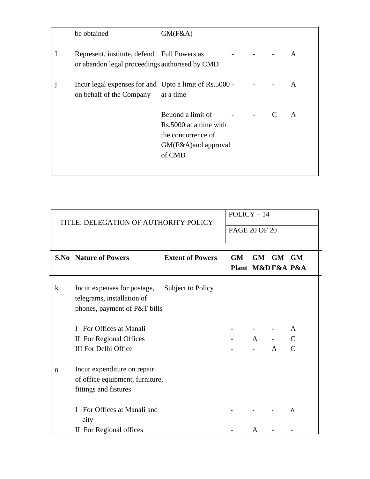|   | be obtained                                                                                   | GM(F&A)                                                                                            |                       |   |
|---|-----------------------------------------------------------------------------------------------|----------------------------------------------------------------------------------------------------|-----------------------|---|
| Ι | Represent, institute, defend Full Powers as<br>or abandon legal proceedings authorised by CMD |                                                                                                    |                       | A |
|   | Incur legal expenses for and Upto a limit of Rs.5000 -<br>on behalf of the Company            | at a time                                                                                          |                       | A |
|   |                                                                                               | Beuond a limit of<br>Rs.5000 at a time with<br>the concurrence of<br>GM(F&A)and approval<br>of CMD | <b>All Strategies</b> | A |

|         | TITLE: DELEGATION OF AUTHORITY POLICY                                                                       |                         |    | $POLICY-14$      |              |                        |  |
|---------|-------------------------------------------------------------------------------------------------------------|-------------------------|----|------------------|--------------|------------------------|--|
|         |                                                                                                             | <b>PAGE 20 OF 20</b>    |    |                  |              |                        |  |
|         | <b>S.No</b> Nature of Powers                                                                                | <b>Extent of Powers</b> | GM | Plant M&DF&A P&A | GM GM GM     |                        |  |
| $\bf k$ | Incur expenses for postage, Subject to Policy<br>telegrams, installation of<br>phones, payment of P&T bills |                         |    |                  |              |                        |  |
|         | I For Offices at Manali<br>II For Regional Offices<br><b>III For Delhi Office</b>                           |                         |    | A                | $\mathbf{A}$ | A<br>$\mathsf{C}$<br>C |  |
| n       | Incur expenditure on repair<br>of office equipment, furniture,<br>fittings and fistures                     |                         |    |                  |              |                        |  |
|         | For Offices at Manali and<br>L<br>city                                                                      |                         |    |                  |              | A                      |  |
|         | II For Regional offices                                                                                     |                         |    | A                |              |                        |  |